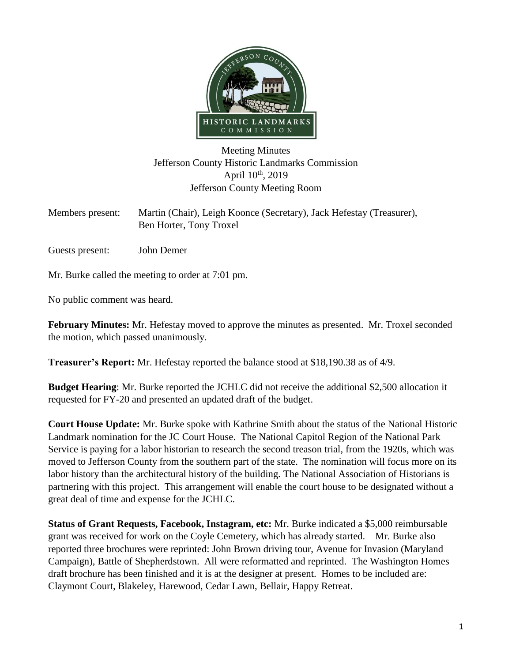

## Meeting Minutes Jefferson County Historic Landmarks Commission April  $10^{th}$ , 2019 Jefferson County Meeting Room

Members present: Martin (Chair), Leigh Koonce (Secretary), Jack Hefestay (Treasurer), Ben Horter, Tony Troxel

Guests present: John Demer

Mr. Burke called the meeting to order at 7:01 pm.

No public comment was heard.

**February Minutes:** Mr. Hefestay moved to approve the minutes as presented. Mr. Troxel seconded the motion, which passed unanimously.

**Treasurer's Report:** Mr. Hefestay reported the balance stood at \$18,190.38 as of 4/9.

**Budget Hearing**: Mr. Burke reported the JCHLC did not receive the additional \$2,500 allocation it requested for FY-20 and presented an updated draft of the budget.

**Court House Update:** Mr. Burke spoke with Kathrine Smith about the status of the National Historic Landmark nomination for the JC Court House. The National Capitol Region of the National Park Service is paying for a labor historian to research the second treason trial, from the 1920s, which was moved to Jefferson County from the southern part of the state. The nomination will focus more on its labor history than the architectural history of the building. The National Association of Historians is partnering with this project. This arrangement will enable the court house to be designated without a great deal of time and expense for the JCHLC.

**Status of Grant Requests, Facebook, Instagram, etc:** Mr. Burke indicated a \$5,000 reimbursable grant was received for work on the Coyle Cemetery, which has already started. Mr. Burke also reported three brochures were reprinted: John Brown driving tour, Avenue for Invasion (Maryland Campaign), Battle of Shepherdstown. All were reformatted and reprinted. The Washington Homes draft brochure has been finished and it is at the designer at present. Homes to be included are: Claymont Court, Blakeley, Harewood, Cedar Lawn, Bellair, Happy Retreat.